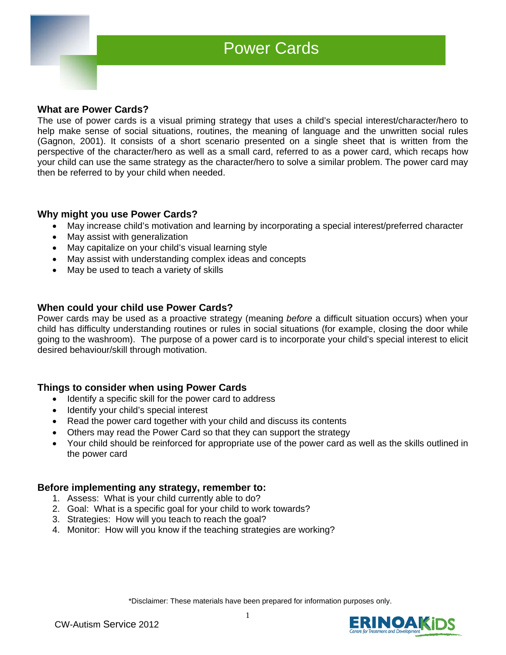### **What are Power Cards?**

I

The use of power cards is a visual priming strategy that uses a child's special interest/character/hero to help make sense of social situations, routines, the meaning of language and the unwritten social rules (Gagnon, 2001). It consists of a short scenario presented on a single sheet that is written from the perspective of the character/hero as well as a small card, referred to as a power card, which recaps how your child can use the same strategy as the character/hero to solve a similar problem. The power card may then be referred to by your child when needed.

# **Why might you use Power Cards?**

- May increase child's motivation and learning by incorporating a special interest/preferred character
- May assist with generalization
- May capitalize on your child's visual learning style
- May assist with understanding complex ideas and concepts
- May be used to teach a variety of skills

# **When could your child use Power Cards?**

Power cards may be used as a proactive strategy (meaning *before* a difficult situation occurs) when your child has difficulty understanding routines or rules in social situations (for example, closing the door while going to the washroom). The purpose of a power card is to incorporate your child's special interest to elicit desired behaviour/skill through motivation.

## **Things to consider when using Power Cards**

- Identify a specific skill for the power card to address
- Identify your child's special interest
- Read the power card together with your child and discuss its contents
- Others may read the Power Card so that they can support the strategy
- Your child should be reinforced for appropriate use of the power card as well as the skills outlined in the power card

## **Before implementing any strategy, remember to:**

- 1. Assess: What is your child currently able to do?
- 2. Goal: What is a specific goal for your child to work towards?
- 3. Strategies: How will you teach to reach the goal?
- 4. Monitor: How will you know if the teaching strategies are working?

\*Disclaimer: These materials have been prepared for information purposes only.